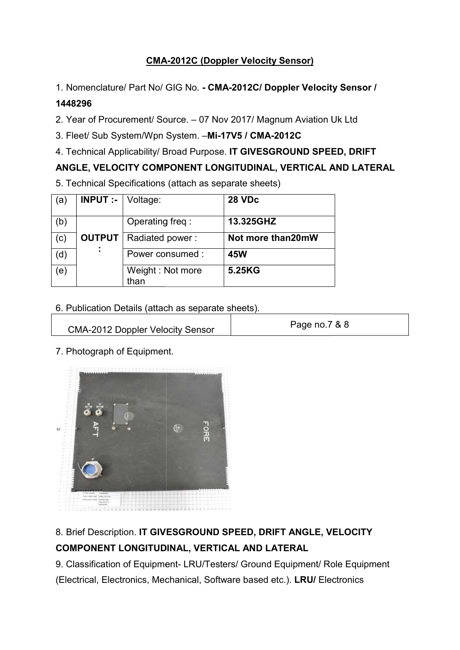## CMA CMA-2012C (Doppler Velocity Sensor)

1. Nomenclature/ Part No/ GIG No. - CMA-2012C/ Doppler Velocity Sensor /

#### 1448296

2. Year of Procurement/ Source. - 07 Nov 2017/ Magnum Aviation Uk Ltd

- 3. Fleet/ Sub System/Wpn System. -Mi-17V5 / CMA-2012C
- 4. Technical Applicability/ Broad Purpose. IT GIVESGROUND SPEED, DRIFT

### ANGLE, VELOCITY COMPONENT LONGITUDINAL, VERTICAL AND LATERAL

5. Technical Specifications (attach as separate sheets)

| (a) | <b>INPUT :-</b> $\vee$ Voltage: |                          | <b>28 VDc</b>     |
|-----|---------------------------------|--------------------------|-------------------|
| (b) |                                 | Operating freq:          | 13.325GHZ         |
| (c) | <b>OUTPUT</b>                   | Radiated power:          | Not more than20mW |
| (d) |                                 | Power consumed :         | <b>45W</b>        |
| (e) |                                 | Weight: Not more<br>than | 5.25KG            |

| 6. Publication Details (attach as separate sheets). |               |  |  |  |
|-----------------------------------------------------|---------------|--|--|--|
| <b>CMA-2012 Doppler Velocity Sensor</b>             | Page no.7 & 8 |  |  |  |

7. Photograph of Equipment. . Photograph



# 8. Brief Description. IT GIVESGROUND SPEED, DRIFT ANGLE, VELOCITY COMPONENT LONGITUDINAL, VERTICAL AND LATERAL

9. Classification of Equipment- LRU/Testers/ Ground Equipment/ Role Equipment

(Electrical, Electronics, Mechanical, Software based etc.). LRU/ Electronics